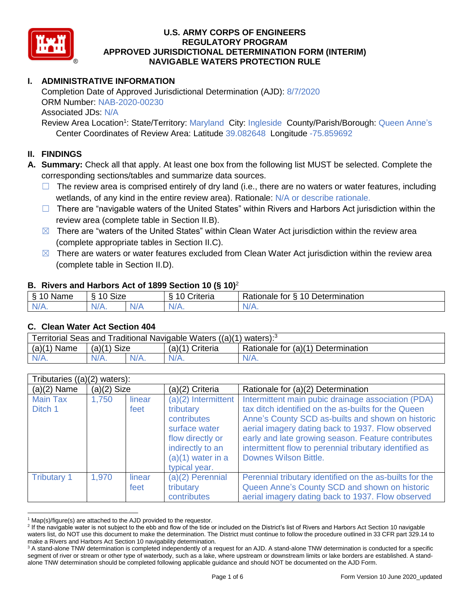

# **I. ADMINISTRATIVE INFORMATION**

Completion Date of Approved Jurisdictional Determination (AJD): 8/7/2020 ORM Number: NAB-2020-00230 Associated JDs: N/A

Review Area Location<sup>1</sup>: State/Territory: Maryland City: Ingleside County/Parish/Borough: Queen Anne's Center Coordinates of Review Area: Latitude 39.082648 Longitude -75.859692

### **II. FINDINGS**

**A. Summary:** Check all that apply. At least one box from the following list MUST be selected. Complete the corresponding sections/tables and summarize data sources.

- $\Box$  The review area is comprised entirely of dry land (i.e., there are no waters or water features, including wetlands, of any kind in the entire review area). Rationale: N/A or describe rationale.
- $\Box$  There are "navigable waters of the United States" within Rivers and Harbors Act jurisdiction within the review area (complete table in Section II.B).
- $\boxtimes$  There are "waters of the United States" within Clean Water Act jurisdiction within the review area (complete appropriate tables in Section II.C).
- $\boxtimes$  There are waters or water features excluded from Clean Water Act jurisdiction within the review area (complete table in Section II.D).

#### **B. Rivers and Harbors Act of 1899 Section 10 (§ 10)**<sup>2</sup>

|                                                          | $\cdot$           |     |                |                                                                 |  |  |  |
|----------------------------------------------------------|-------------------|-----|----------------|-----------------------------------------------------------------|--|--|--|
| $\sim$ $\sim$<br>$\blacksquare$<br>Name<br>$\rightarrow$ | <b>Size</b><br>10 |     | ∶riteria<br>L. | Determination<br>D <sub>o</sub><br>$\Delta$<br>tor<br>Rationale |  |  |  |
| $N/A$ .                                                  | 'V/A.             | N/f | $N/A$ .        | $N/A$ .                                                         |  |  |  |

#### **C. Clean Water Act Section 404**

| Territorial Seas and Traditional Navigable Waters $((a)(1)$ waters): <sup>3</sup> |               |  |                   |                                    |  |
|-----------------------------------------------------------------------------------|---------------|--|-------------------|------------------------------------|--|
| (a)(1)<br>`Name                                                                   | $(a)(1)$ Size |  | $(a)(1)$ Criteria | Rationale for (a)(1) Determination |  |
|                                                                                   | $N/A$ .       |  | $N/A$ .           | $N/A$ .                            |  |

| Tributaries $((a)(2)$ waters): |               |                |                                                                                                                                                    |                                                                                                                                                                                                                                                                                                                                                                     |  |  |
|--------------------------------|---------------|----------------|----------------------------------------------------------------------------------------------------------------------------------------------------|---------------------------------------------------------------------------------------------------------------------------------------------------------------------------------------------------------------------------------------------------------------------------------------------------------------------------------------------------------------------|--|--|
| $(a)(2)$ Name                  | $(a)(2)$ Size |                | (a)(2) Criteria                                                                                                                                    | Rationale for (a)(2) Determination                                                                                                                                                                                                                                                                                                                                  |  |  |
| <b>Main Tax</b><br>Ditch 1     | 1,750         | linear<br>feet | $(a)(2)$ Intermittent<br>tributary<br>contributes<br>surface water<br>flow directly or<br>indirectly to an<br>$(a)(1)$ water in a<br>typical year. | Intermittent main pubic drainage association (PDA)<br>tax ditch identified on the as-builts for the Queen<br>Anne's County SCD as-builts and shown on historic<br>aerial imagery dating back to 1937. Flow observed<br>early and late growing season. Feature contributes<br>intermittent flow to perennial tributary identified as<br><b>Downes Wilson Bittle.</b> |  |  |
| <b>Tributary 1</b>             | 1,970         | linear<br>feet | $(a)(2)$ Perennial<br>tributary<br>contributes                                                                                                     | Perennial tributary identified on the as-builts for the<br>Queen Anne's County SCD and shown on historic<br>aerial imagery dating back to 1937. Flow observed                                                                                                                                                                                                       |  |  |

  $1$  Map(s)/figure(s) are attached to the AJD provided to the requestor.

<sup>&</sup>lt;sup>2</sup> If the navigable water is not subject to the ebb and flow of the tide or included on the District's list of Rivers and Harbors Act Section 10 navigable waters list, do NOT use this document to make the determination. The District must continue to follow the procedure outlined in 33 CFR part 329.14 to make a Rivers and Harbors Act Section 10 navigability determination.

<sup>&</sup>lt;sup>3</sup> A stand-alone TNW determination is completed independently of a request for an AJD. A stand-alone TNW determination is conducted for a specific segment of river or stream or other type of waterbody, such as a lake, where upstream or downstream limits or lake borders are established. A standalone TNW determination should be completed following applicable guidance and should NOT be documented on the AJD Form.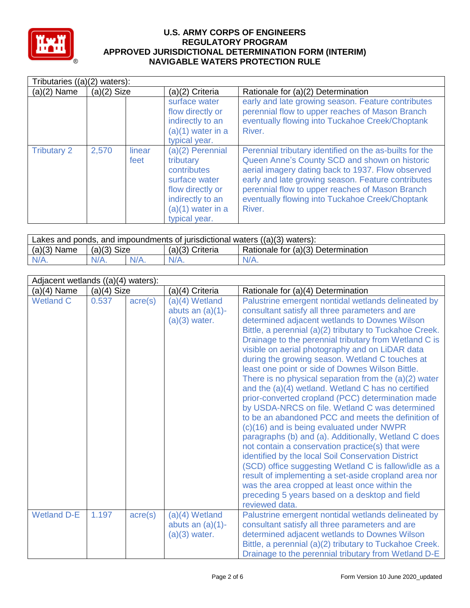

| Tributaries $((a)(2)$ waters): |               |                |                                                                                                                                               |                                                                                                                                                                                                                                                                                                                                     |  |  |  |
|--------------------------------|---------------|----------------|-----------------------------------------------------------------------------------------------------------------------------------------------|-------------------------------------------------------------------------------------------------------------------------------------------------------------------------------------------------------------------------------------------------------------------------------------------------------------------------------------|--|--|--|
| $(a)(2)$ Name                  | $(a)(2)$ Size |                | (a)(2) Criteria                                                                                                                               | Rationale for (a)(2) Determination                                                                                                                                                                                                                                                                                                  |  |  |  |
|                                |               |                | surface water<br>flow directly or<br>indirectly to an<br>$(a)(1)$ water in a<br>typical year.                                                 | early and late growing season. Feature contributes<br>perennial flow to upper reaches of Mason Branch<br>eventually flowing into Tuckahoe Creek/Choptank<br>River.                                                                                                                                                                  |  |  |  |
| <b>Tributary 2</b>             | 2,570         | linear<br>feet | (a)(2) Perennial<br>tributary<br>contributes<br>surface water<br>flow directly or<br>indirectly to an<br>$(a)(1)$ water in a<br>typical year. | Perennial tributary identified on the as-builts for the<br>Queen Anne's County SCD and shown on historic<br>aerial imagery dating back to 1937. Flow observed<br>early and late growing season. Feature contributes<br>perennial flow to upper reaches of Mason Branch<br>eventually flowing into Tuckahoe Creek/Choptank<br>River. |  |  |  |

| Lakes and ponds, and impoundments of jurisdictional waters $((a)(3)$ waters): |               |         |                   |                                    |  |
|-------------------------------------------------------------------------------|---------------|---------|-------------------|------------------------------------|--|
| $(a)(3)$ Name                                                                 | $(a)(3)$ Size |         | $(a)(3)$ Criteria | Rationale for (a)(3) Determination |  |
|                                                                               | $N/A$ .       | $N/A$ . | $N/A$ .           | $N/A$ .                            |  |

|                    | Adjacent wetlands ((a)(4) waters): |                  |                                                            |                                                                                                                                                                                                                                                                                                                                                                                                                                                                                                                                                                                                                                                                                                                                                                                                                                                                                                                                                                                                                                                                                                                                                                          |  |  |  |
|--------------------|------------------------------------|------------------|------------------------------------------------------------|--------------------------------------------------------------------------------------------------------------------------------------------------------------------------------------------------------------------------------------------------------------------------------------------------------------------------------------------------------------------------------------------------------------------------------------------------------------------------------------------------------------------------------------------------------------------------------------------------------------------------------------------------------------------------------------------------------------------------------------------------------------------------------------------------------------------------------------------------------------------------------------------------------------------------------------------------------------------------------------------------------------------------------------------------------------------------------------------------------------------------------------------------------------------------|--|--|--|
| (a)(4) Name        | $(a)(4)$ Size                      |                  | (a)(4) Criteria                                            | Rationale for (a)(4) Determination                                                                                                                                                                                                                                                                                                                                                                                                                                                                                                                                                                                                                                                                                                                                                                                                                                                                                                                                                                                                                                                                                                                                       |  |  |  |
| <b>Wetland C</b>   | 0.537                              | $\text{acre}(s)$ | $(a)(4)$ Wetland<br>abuts an $(a)(1)$ -<br>$(a)(3)$ water. | Palustrine emergent nontidal wetlands delineated by<br>consultant satisfy all three parameters and are<br>determined adjacent wetlands to Downes Wilson<br>Bittle, a perennial (a)(2) tributary to Tuckahoe Creek.<br>Drainage to the perennial tributary from Wetland C is<br>visible on aerial photography and on LiDAR data<br>during the growing season. Wetland C touches at<br>least one point or side of Downes Wilson Bittle.<br>There is no physical separation from the $(a)(2)$ water<br>and the (a)(4) wetland. Wetland C has no certified<br>prior-converted cropland (PCC) determination made<br>by USDA-NRCS on file. Wetland C was determined<br>to be an abandoned PCC and meets the definition of<br>(c)(16) and is being evaluated under NWPR<br>paragraphs (b) and (a). Additionally, Wetland C does<br>not contain a conservation practice(s) that were<br>identified by the local Soil Conservation District<br>(SCD) office suggesting Wetland C is fallow/idle as a<br>result of implementing a set-aside cropland area nor<br>was the area cropped at least once within the<br>preceding 5 years based on a desktop and field<br>reviewed data. |  |  |  |
| <b>Wetland D-E</b> | 1.197                              | $\text{acre}(s)$ | $(a)(4)$ Wetland<br>abuts an $(a)(1)$ -<br>$(a)(3)$ water. | Palustrine emergent nontidal wetlands delineated by<br>consultant satisfy all three parameters and are<br>determined adjacent wetlands to Downes Wilson<br>Bittle, a perennial (a)(2) tributary to Tuckahoe Creek.<br>Drainage to the perennial tributary from Wetland D-E                                                                                                                                                                                                                                                                                                                                                                                                                                                                                                                                                                                                                                                                                                                                                                                                                                                                                               |  |  |  |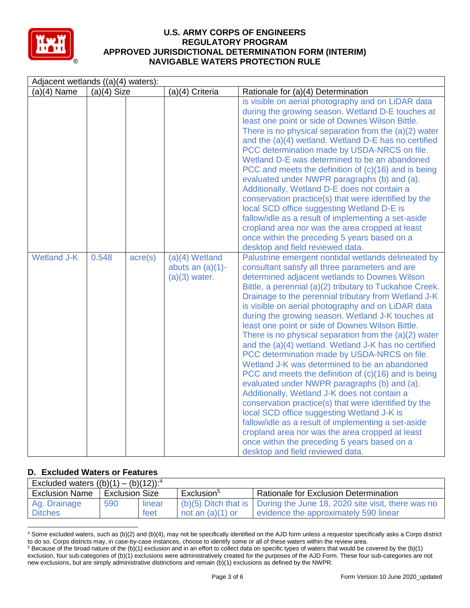

| Adjacent wetlands ((a)(4) waters): |               |                  |                                                            |                                                                                                                                                                                                                                                                                                                                                                                                                                                                                                                                                                                                                                                                                                                                                                                                                                                                                                                                                                                                                                                                                                                                                                                                                                                                                                                                                                                                                                                                                                                                                                                                                                                                                                                                                                                                                                                                                                                                      |  |  |
|------------------------------------|---------------|------------------|------------------------------------------------------------|--------------------------------------------------------------------------------------------------------------------------------------------------------------------------------------------------------------------------------------------------------------------------------------------------------------------------------------------------------------------------------------------------------------------------------------------------------------------------------------------------------------------------------------------------------------------------------------------------------------------------------------------------------------------------------------------------------------------------------------------------------------------------------------------------------------------------------------------------------------------------------------------------------------------------------------------------------------------------------------------------------------------------------------------------------------------------------------------------------------------------------------------------------------------------------------------------------------------------------------------------------------------------------------------------------------------------------------------------------------------------------------------------------------------------------------------------------------------------------------------------------------------------------------------------------------------------------------------------------------------------------------------------------------------------------------------------------------------------------------------------------------------------------------------------------------------------------------------------------------------------------------------------------------------------------------|--|--|
| $(a)(4)$ Name                      | $(a)(4)$ Size |                  | (a)(4) Criteria                                            | Rationale for (a)(4) Determination                                                                                                                                                                                                                                                                                                                                                                                                                                                                                                                                                                                                                                                                                                                                                                                                                                                                                                                                                                                                                                                                                                                                                                                                                                                                                                                                                                                                                                                                                                                                                                                                                                                                                                                                                                                                                                                                                                   |  |  |
| <b>Wetland J-K</b>                 | 0.548         | $\text{acre}(s)$ | $(a)(4)$ Wetland<br>abuts an $(a)(1)$ -<br>$(a)(3)$ water. | is visible on aerial photography and on LiDAR data<br>during the growing season. Wetland D-E touches at<br>least one point or side of Downes Wilson Bittle.<br>There is no physical separation from the $(a)(2)$ water<br>and the (a)(4) wetland. Wetland D-E has no certified<br>PCC determination made by USDA-NRCS on file.<br>Wetland D-E was determined to be an abandoned<br>PCC and meets the definition of (c)(16) and is being<br>evaluated under NWPR paragraphs (b) and (a).<br>Additionally, Wetland D-E does not contain a<br>conservation practice(s) that were identified by the<br>local SCD office suggesting Wetland D-E is<br>fallow/idle as a result of implementing a set-aside<br>cropland area nor was the area cropped at least<br>once within the preceding 5 years based on a<br>desktop and field reviewed data.<br>Palustrine emergent nontidal wetlands delineated by<br>consultant satisfy all three parameters and are<br>determined adjacent wetlands to Downes Wilson<br>Bittle, a perennial (a)(2) tributary to Tuckahoe Creek.<br>Drainage to the perennial tributary from Wetland J-K<br>is visible on aerial photography and on LiDAR data<br>during the growing season. Wetland J-K touches at<br>least one point or side of Downes Wilson Bittle.<br>There is no physical separation from the $(a)(2)$ water<br>and the (a)(4) wetland. Wetland J-K has no certified<br>PCC determination made by USDA-NRCS on file.<br>Wetland J-K was determined to be an abandoned<br>PCC and meets the definition of (c)(16) and is being<br>evaluated under NWPR paragraphs (b) and (a).<br>Additionally, Wetland J-K does not contain a<br>conservation practice(s) that were identified by the<br>local SCD office suggesting Wetland J-K is<br>fallow/idle as a result of implementing a set-aside<br>cropland area nor was the area cropped at least<br>once within the preceding 5 years based on a |  |  |
|                                    |               |                  |                                                            | desktop and field reviewed data.                                                                                                                                                                                                                                                                                                                                                                                                                                                                                                                                                                                                                                                                                                                                                                                                                                                                                                                                                                                                                                                                                                                                                                                                                                                                                                                                                                                                                                                                                                                                                                                                                                                                                                                                                                                                                                                                                                     |  |  |

### **D. Excluded Waters or Features**

| Excluded waters $((b)(1) - (b)(12))$ : <sup>4</sup> |                       |        |                        |                                                                            |  |  |
|-----------------------------------------------------|-----------------------|--------|------------------------|----------------------------------------------------------------------------|--|--|
| <b>Exclusion Name</b>                               | <b>Exclusion Size</b> |        | Exclusion <sup>5</sup> | <b>Rationale for Exclusion Determination</b>                               |  |  |
| Ag. Drainage                                        | 590                   | linear |                        | $(b)(5)$ Ditch that is   During the June 18, 2020 site visit, there was no |  |  |
| <b>Ditches</b>                                      |                       | feet   | not an $(a)(1)$ or     | evidence the approximately 590 linear                                      |  |  |

<sup>4</sup> Some excluded waters, such as (b)(2) and (b)(4), may not be specifically identified on the AJD form unless a requestor specifically asks a Corps district to do so. Corps districts may, in case-by-case instances, choose to identify some or all of these waters within the review area.  $5$  Because of the broad nature of the (b)(1) exclusion and in an effort to collect data on specific types of waters that would be covered by the (b)(1)

exclusion, four sub-categories of (b)(1) exclusions were administratively created for the purposes of the AJD Form. These four sub-categories are not new exclusions, but are simply administrative distinctions and remain (b)(1) exclusions as defined by the NWPR.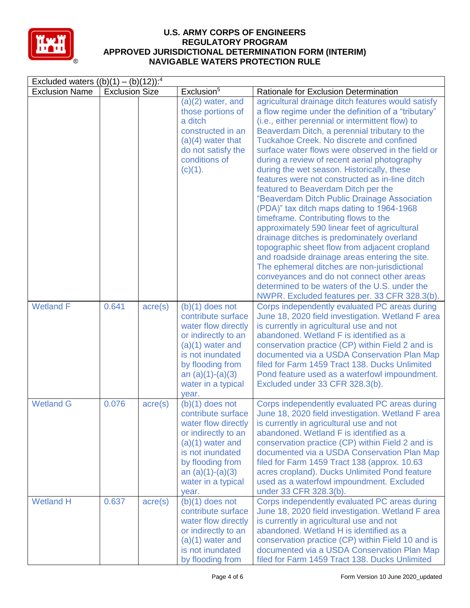

| Excluded waters $((b)(1) - (b)(12))$ : <sup>4</sup> |                       |                  |                                                                                                                                                                                                          |                                                                                                                                                                                                                                                                                                                                                                                                                                                                                                                                                                                                                                                                                                                                                                                                                                                                                                                                                                                                                                               |  |  |
|-----------------------------------------------------|-----------------------|------------------|----------------------------------------------------------------------------------------------------------------------------------------------------------------------------------------------------------|-----------------------------------------------------------------------------------------------------------------------------------------------------------------------------------------------------------------------------------------------------------------------------------------------------------------------------------------------------------------------------------------------------------------------------------------------------------------------------------------------------------------------------------------------------------------------------------------------------------------------------------------------------------------------------------------------------------------------------------------------------------------------------------------------------------------------------------------------------------------------------------------------------------------------------------------------------------------------------------------------------------------------------------------------|--|--|
| <b>Exclusion Name</b>                               | <b>Exclusion Size</b> |                  | Exclusion <sup>5</sup>                                                                                                                                                                                   | Rationale for Exclusion Determination                                                                                                                                                                                                                                                                                                                                                                                                                                                                                                                                                                                                                                                                                                                                                                                                                                                                                                                                                                                                         |  |  |
|                                                     |                       |                  | $(a)(2)$ water, and<br>those portions of<br>a ditch<br>constructed in an<br>$(a)(4)$ water that<br>do not satisfy the<br>conditions of<br>(c)(1).                                                        | agricultural drainage ditch features would satisfy<br>a flow regime under the definition of a "tributary"<br>(i.e., either perennial or intermittent flow) to<br>Beaverdam Ditch, a perennial tributary to the<br>Tuckahoe Creek. No discrete and confined<br>surface water flows were observed in the field or<br>during a review of recent aerial photography<br>during the wet season. Historically, these<br>features were not constructed as in-line ditch<br>featured to Beaverdam Ditch per the<br>"Beaverdam Ditch Public Drainage Association<br>(PDA)" tax ditch maps dating to 1964-1968<br>timeframe. Contributing flows to the<br>approximately 590 linear feet of agricultural<br>drainage ditches is predominately overland<br>topographic sheet flow from adjacent cropland<br>and roadside drainage areas entering the site.<br>The ephemeral ditches are non-jurisdictional<br>conveyances and do not connect other areas<br>determined to be waters of the U.S. under the<br>NWPR. Excluded features per. 33 CFR 328.3(b). |  |  |
| <b>Wetland F</b>                                    | 0.641                 | $\text{acre}(s)$ | $(b)(1)$ does not<br>contribute surface<br>water flow directly<br>or indirectly to an<br>$(a)(1)$ water and<br>is not inundated<br>by flooding from<br>an $(a)(1)-(a)(3)$<br>water in a typical<br>year. | Corps independently evaluated PC areas during<br>June 18, 2020 field investigation. Wetland F area<br>is currently in agricultural use and not<br>abandoned. Wetland F is identified as a<br>conservation practice (CP) within Field 2 and is<br>documented via a USDA Conservation Plan Map<br>filed for Farm 1459 Tract 138. Ducks Unlimited<br>Pond feature used as a waterfowl impoundment.<br>Excluded under 33 CFR 328.3(b).                                                                                                                                                                                                                                                                                                                                                                                                                                                                                                                                                                                                            |  |  |
| <b>Wetland G</b>                                    | 0.076                 | $\text{acre}(s)$ | $(b)(1)$ does not<br>contribute surface<br>water flow directly<br>or indirectly to an<br>$(a)(1)$ water and<br>is not inundated<br>by flooding from<br>an $(a)(1)-(a)(3)$<br>water in a typical<br>year. | Corps independently evaluated PC areas during<br>June 18, 2020 field investigation. Wetland F area<br>is currently in agricultural use and not<br>abandoned. Wetland F is identified as a<br>conservation practice (CP) within Field 2 and is<br>documented via a USDA Conservation Plan Map<br>filed for Farm 1459 Tract 138 (approx. 10.63<br>acres cropland). Ducks Unlimited Pond feature<br>used as a waterfowl impoundment. Excluded<br>under 33 CFR 328.3(b).                                                                                                                                                                                                                                                                                                                                                                                                                                                                                                                                                                          |  |  |
| <b>Wetland H</b>                                    | 0.637                 | $\text{acre}(s)$ | $(b)(1)$ does not<br>contribute surface<br>water flow directly<br>or indirectly to an<br>$(a)(1)$ water and<br>is not inundated<br>by flooding from                                                      | Corps independently evaluated PC areas during<br>June 18, 2020 field investigation. Wetland F area<br>is currently in agricultural use and not<br>abandoned. Wetland H is identified as a<br>conservation practice (CP) within Field 10 and is<br>documented via a USDA Conservation Plan Map<br>filed for Farm 1459 Tract 138. Ducks Unlimited                                                                                                                                                                                                                                                                                                                                                                                                                                                                                                                                                                                                                                                                                               |  |  |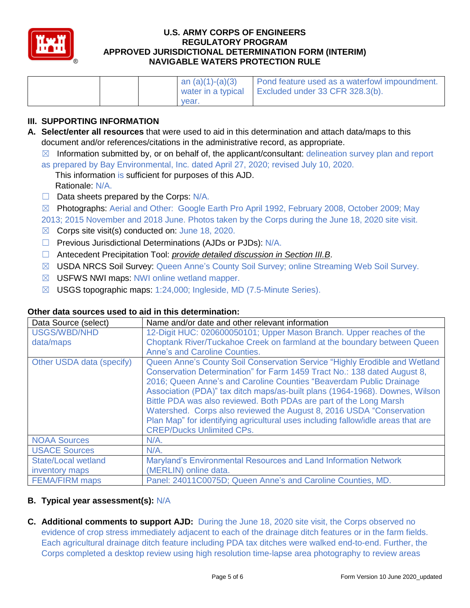

|       | an $(a)(1)-(a)(3)$ | Pond feature used as a waterfowl impoundment. |
|-------|--------------------|-----------------------------------------------|
|       | water in a typical | Excluded under 33 CFR 328.3(b).               |
| vear. |                    |                                               |

## **III. SUPPORTING INFORMATION**

- **A. Select/enter all resources** that were used to aid in this determination and attach data/maps to this document and/or references/citations in the administrative record, as appropriate.
	- $\boxtimes$  Information submitted by, or on behalf of, the applicant/consultant: delineation survey plan and report
	- as prepared by Bay Environmental, Inc. dated April 27, 2020; revised July 10, 2020.
		- This information is sufficient for purposes of this AJD. Rationale: N/A.
	- $\Box$  Data sheets prepared by the Corps:  $N/A$ .
	- ☒ Photographs: Aerial and Other: Google Earth Pro April 1992, February 2008, October 2009; May
	- 2013; 2015 November and 2018 June. Photos taken by the Corps during the June 18, 2020 site visit.
	- $\boxtimes$  Corps site visit(s) conducted on: June 18, 2020.
	- □ Previous Jurisdictional Determinations (AJDs or PJDs): N/A.
	- ☐ Antecedent Precipitation Tool: *provide detailed discussion in Section III.B*.
	- ☒ USDA NRCS Soil Survey: Queen Anne's County Soil Survey; online Streaming Web Soil Survey.
	- ☒ USFWS NWI maps: NWI online wetland mapper.
	- $\boxtimes$  USGS topographic maps: 1:24,000; Ingleside, MD (7.5-Minute Series).

### **Other data sources used to aid in this determination:**

| Data Source (select)       | Name and/or date and other relevant information                                  |
|----------------------------|----------------------------------------------------------------------------------|
| <b>USGS/WBD/NHD</b>        | 12-Digit HUC: 020600050101; Upper Mason Branch. Upper reaches of the             |
| data/maps                  | Choptank River/Tuckahoe Creek on farmland at the boundary between Queen          |
|                            | <b>Anne's and Caroline Counties.</b>                                             |
| Other USDA data (specify)  | Queen Anne's County Soil Conservation Service "Highly Erodible and Wetland       |
|                            | Conservation Determination" for Farm 1459 Tract No.: 138 dated August 8,         |
|                            | 2016; Queen Anne's and Caroline Counties "Beaverdam Public Drainage              |
|                            | Association (PDA)" tax ditch maps/as-built plans (1964-1968). Downes, Wilson     |
|                            | Bittle PDA was also reviewed. Both PDAs are part of the Long Marsh               |
|                            | Watershed. Corps also reviewed the August 8, 2016 USDA "Conservation"            |
|                            | Plan Map" for identifying agricultural uses including fallow/idle areas that are |
|                            | <b>CREP/Ducks Unlimited CPs.</b>                                                 |
| <b>NOAA Sources</b>        | $N/A$ .                                                                          |
| <b>USACE Sources</b>       | $N/A$ .                                                                          |
| <b>State/Local wetland</b> | Maryland's Environmental Resources and Land Information Network                  |
| inventory maps             | (MERLIN) online data.                                                            |
| <b>FEMA/FIRM maps</b>      | Panel: 24011C0075D; Queen Anne's and Caroline Counties, MD.                      |

# **B. Typical year assessment(s):** N/A

**C. Additional comments to support AJD:** During the June 18, 2020 site visit, the Corps observed no evidence of crop stress immediately adjacent to each of the drainage ditch features or in the farm fields. Each agricultural drainage ditch feature including PDA tax ditches were walked end-to-end. Further, the Corps completed a desktop review using high resolution time-lapse area photography to review areas